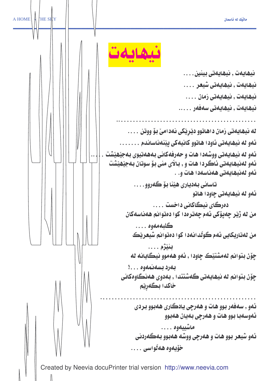

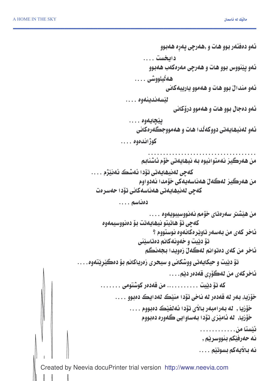Created by Neevia docuPrinter trial version <http://www.neevia.com> ئەو دەڧتەر بوو ھات و ,ھەرچى پەرِە ھەبوو دابخ*ست ....* ئەو پێنووس بوو ھات و ھەرچى مەرەكەب ھەبوو ھەڵيلووشى . . . . خهو مندانٌ بوو هات و ههموو يارييهكاني ايتسەندىنەوە . . . . **ئەو دەجال بوو ھات و ھەموو درۆكانى** پێچايەوە . . . . ئەو لەنيھايەتى دووكەڭدا ھات و ھەمووجڪەرەكانى كوژانلاموه .... من هەرگيز نەمتوانيوه بە نيھايەتى خۆم ئاشنابم كەچى لەنيھايەتى تۆدا ئەشك ئەنێژم . . . . من هەرگيز لەگەلْ ھەناسەيەكى خۆمدا نەدواوم كەچى لەنيھايەتى ھەناسەكانى تۆدا حەسرەت دەناسى . . . . من هیّشتر سهرهتای خوّمم نهنووسیبویهوه . . . . كەچى تۆ ھاتيتو نيھايەتت بۆ دەنووسيمەوە **شاخر کهی من بهسهر تاویدرهکانهوه نوستووم** ؟ قۆ دێيت و خەونەكانم دەتاسێنى شاخر من كهي دهتوانم لهگهلٌ زمويدا بجهنگم تۆ دێيت و حيكايەتى ووشكانى و سيحرى زەرياكانم بۆ دەكێڕێتەوە. . . . <mark>شاخركەي من لەگۆ</mark>ڕى قەدەر دێم. . . . كه تۆ دێيت . . . . . . . . . . . من قەدەر كوشتومى . . . . . . . . خۆزيا, بـهر له قهدەر له ناخى تۆدا منێڪ لهدايڪ دەبوو . . . .  $\ldots$  خۆزيا , له بەرامبەر بالأى تۆدا ئەلفێڪ دەبووم خۆزيا, له ئامێزی تۆد۱ بهساو ايی گەوره دەبووم ئٽستا من. . . نه حەرفێكم بنووسرێم , نه بالأيهكم بسوتێم . . . .

 

Created by Neevia docuPrinter trial version http://www.neevia.com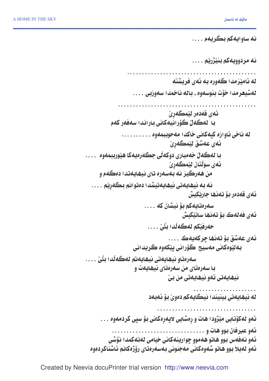نه ساوايهکم بگريهم . . . . نه مردوویهکم بنی٘ژریم <mark>.</mark> . . . . له ئامێزمد، گەورە بە ئەي فريشتە لەشيغرمدا خۆت بنوسەوە , بالە ناخمدا سەوزبى . . . . \_ئەي قەدەر ئێمگەڕێ ِ با ِ لەگەلْ گۆرانيەكانى باراندا سەڧەر كەم له ناخی ئاوازه کپهکانی خاکدا مهحوببمهوه . . . . . . . . . . ِ ئەي عەشق ئ**ي**ْمگەرِێ بـا لەگەلْ خەمبارى دوكەڭى جگەرەيەكا ھێورببمەوە . . . . \_ئەي سوڭتان لێمگەڕێ من ههرگيز نه بهسهره تاي نيهايهتدا دهگهم و نه به نيهايهتى نيهايهتيشدا دەتوانم بگەرِيْم . . . . -ئەي قەدەر بۆ تەنھا جار<u>ي</u>ْكيش  $\ldots$  مەرەتايەكم بۆ نيشان كە $\ldots$ ئەي فەلەك بۆ تەنھا ساتێكيش حەرفێكم لەگەڵدا بڵێ ئەي عەشق بۆ تەنھا چركەيەك . . . . به لێومکانی مەسیح گۆرانی پێکەوە گريدانی  $\dots$  سەرەتاو نيھايەتى نيھايەتم لەگەڵدا بلىٰ با سەرەتاي من سەرەتاي نيھايەت و نيھايەتى ئەو نيھايەتى من بىّ له نيهايهتي بينيندا نيگايهكم دەوێ بۆ ئەبەد ئهو لهکۆتایی میّژودا هات و رِهشایی لاپهرِهکانی بۆ سپی کردمهوه . . . "!WR-( ئەو نەفەس بوو ھاتو ھەموو چوارينەكانى خيامى لەتەكەدا نۆ*شى* ئەو لەيلا بوو ھاتو شەوەكانى مەجنونى بەسەرەتاي رۆژەكانم ئاشناكردەوە